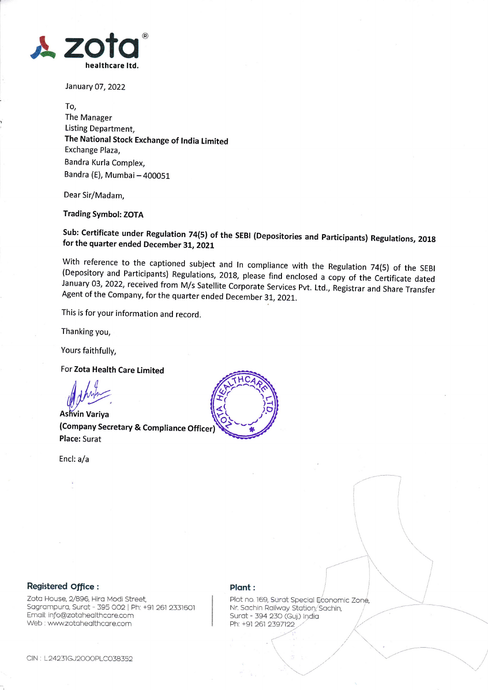

January 07, 2022

To, The Manager Listing Department, The National Stock Exchange of India Limited Exchange Plaza. Bandra Kurla Complex, Bandra (E), Mumbai - 400051

Dear Sir/Madam.

**Trading Symbol: ZOTA** 

Sub: Certificate under Regulation 74(5) of the SEBI (Depositories and Participants) Regulations, 2018 for the quarter ended December 31, 2021

With reference to the captioned subject and In compliance with the Regulation 74(5) of the SEBI (Depository and Participants) Regulations, 2018, please find enclosed a copy of the Certificate dated January 03, 2022, received from M/s Satellite Corporate Services Pvt. Ltd., Registrar and Share Transfer Agent of the Company, for the quarter ended December 31, 2021.

This is for your information and record.

Thanking you,

Yours faithfully,

For Zota Health Care Limited

**Ashvin Variya** (Company Secretary & Compliance Officer) **Place: Surat** 

Encl: a/a



## Registered Office :

Zota House, 2/896. Hira Modi Street. Sagrampura, Surat - 395 002 | Ph: +91 261 2331601 Email: info@zotahealthcare.com Web: www.zotahealthcare.com

## Plant:

Plot no. 169, Surat Special Economic Zone, Nr. Sachin Railway Station, Sachin, Surat - 394 230 (Guj.) India Ph: +91 261 2397122